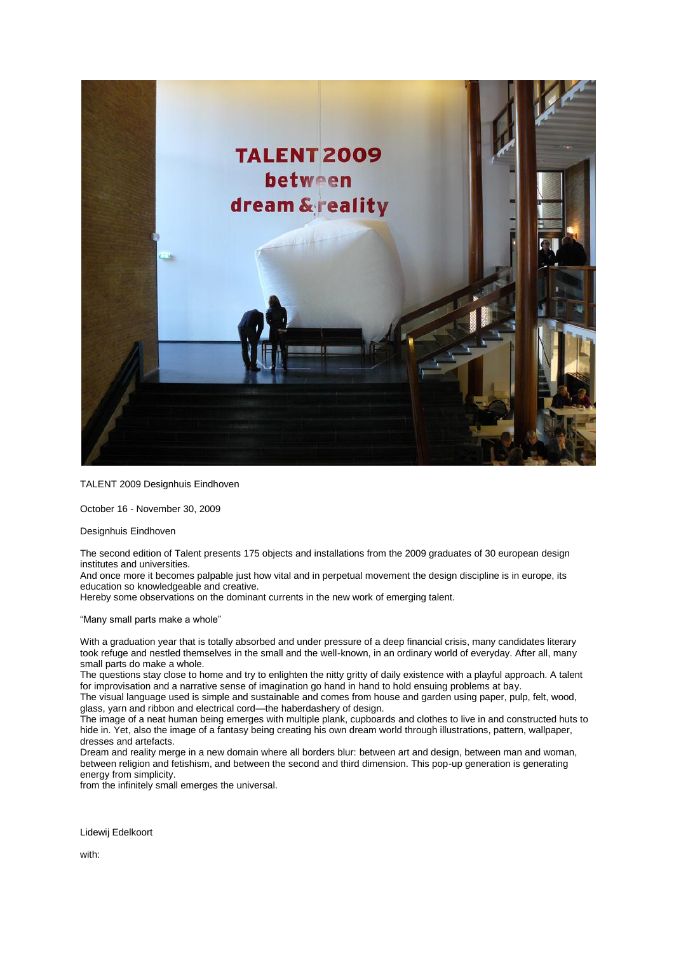

TALENT 2009 Designhuis Eindhoven

October 16 - November 30, 2009

Designhuis Eindhoven

The second edition of Talent presents 175 objects and installations from the 2009 graduates of 30 european design institutes and universities.

And once more it becomes palpable just how vital and in perpetual movement the design discipline is in europe, its education so knowledgeable and creative.

Hereby some observations on the dominant currents in the new work of emerging talent.

"Many small parts make a whole"

With a graduation year that is totally absorbed and under pressure of a deep financial crisis, many candidates literary took refuge and nestled themselves in the small and the well-known, in an ordinary world of everyday. After all, many small parts do make a whole.

The questions stay close to home and try to enlighten the nitty gritty of daily existence with a playful approach. A talent for improvisation and a narrative sense of imagination go hand in hand to hold ensuing problems at bay.

The visual language used is simple and sustainable and comes from house and garden using paper, pulp, felt, wood, glass, yarn and ribbon and electrical cord—the haberdashery of design.

The image of a neat human being emerges with multiple plank, cupboards and clothes to live in and constructed huts to hide in. Yet, also the image of a fantasy being creating his own dream world through illustrations, pattern, wallpaper, dresses and artefacts.

Dream and reality merge in a new domain where all borders blur: between art and design, between man and woman, between religion and fetishism, and between the second and third dimension. This pop-up generation is generating energy from simplicity.

from the infinitely small emerges the universal.

Lidewij Edelkoort

with: